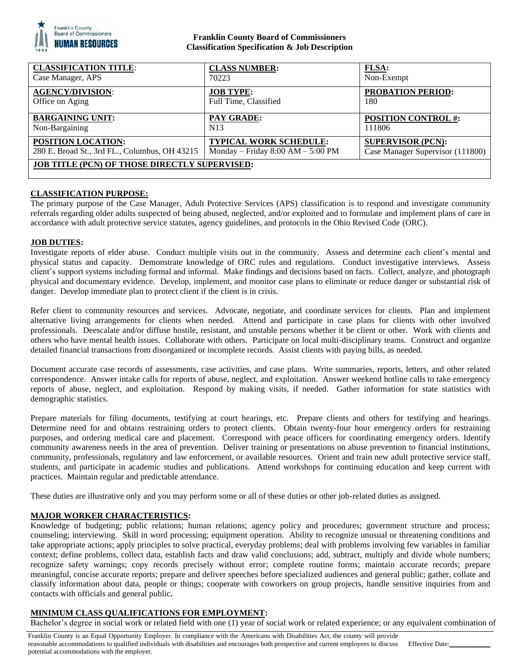

### **Franklin County Board of Commissioners Classification Specification & Job Description**

| <b>CLASSIFICATION TITLE:</b>                         | <b>CLASS NUMBER:</b>                | FLSA:                            |
|------------------------------------------------------|-------------------------------------|----------------------------------|
| Case Manager, APS                                    | 70223                               | Non-Exempt                       |
| <b>AGENCY/DIVISION:</b>                              | <b>JOB TYPE:</b>                    | <b>PROBATION PERIOD:</b>         |
| Office on Aging                                      | Full Time, Classified               | 180                              |
| <b>BARGAINING UNIT:</b>                              | <b>PAY GRADE:</b>                   | <b>POSITION CONTROL #:</b>       |
| Non-Bargaining                                       | N <sub>1</sub> 3                    | 111806                           |
| <b>POSITION LOCATION:</b>                            | <b>TYPICAL WORK SCHEDULE:</b>       | <b>SUPERVISOR (PCN):</b>         |
| 280 E. Broad St., 3rd FL., Columbus, OH 43215        | Monday – Friday $8:00 AM - 5:00 PM$ | Case Manager Supervisor (111800) |
| <b>JOB TITLE (PCN) OF THOSE DIRECTLY SUPERVISED:</b> |                                     |                                  |

## **CLASSIFICATION PURPOSE:**

The primary purpose of the Case Manager, Adult Protective Services (APS) classification is to respond and investigate community referrals regarding older adults suspected of being abused, neglected, and/or exploited and to formulate and implement plans of care in accordance with adult protective service statutes, agency guidelines, and protocols in the Ohio Revised Code (ORC).

#### **JOB DUTIES:**

Investigate reports of elder abuse. Conduct multiple visits out in the community. Assess and determine each client's mental and physical status and capacity. Demonstrate knowledge of ORC rules and regulations. Conduct investigative interviews. Assess client's support systems including formal and informal. Make findings and decisions based on facts. Collect, analyze, and photograph physical and documentary evidence. Develop, implement, and monitor case plans to eliminate or reduce danger or substantial risk of danger. Develop immediate plan to protect client if the client is in crisis.

Refer client to community resources and services. Advocate, negotiate, and coordinate services for clients. Plan and implement alternative living arrangements for clients when needed. Attend and participate in case plans for clients with other involved professionals. Deescalate and/or diffuse hostile, resistant, and unstable persons whether it be client or other. Work with clients and others who have mental health issues. Collaborate with others. Participate on local multi-disciplinary teams. Construct and organize detailed financial transactions from disorganized or incomplete records. Assist clients with paying bills, as needed.

Document accurate case records of assessments, case activities, and case plans. Write summaries, reports, letters, and other related correspondence. Answer intake calls for reports of abuse, neglect, and exploitation. Answer weekend hotline calls to take emergency reports of abuse, neglect, and exploitation. Respond by making visits, if needed. Gather information for state statistics with demographic statistics.

Prepare materials for filing documents, testifying at court hearings, etc. Prepare clients and others for testifying and hearings. Determine need for and obtains restraining orders to protect clients. Obtain twenty-four hour emergency orders for restraining purposes, and ordering medical care and placement. Correspond with peace officers for coordinating emergency orders. Identify community awareness needs in the area of prevention. Deliver training or presentations on abuse prevention to financial institutions, community, professionals, regulatory and law enforcement, or available resources. Orient and train new adult protective service staff, students, and participate in academic studies and publications. Attend workshops for continuing education and keep current with practices. Maintain regular and predictable attendance.

These duties are illustrative only and you may perform some or all of these duties or other job-related duties as assigned.

#### **MAJOR WORKER CHARACTERISTICS:**

Knowledge of budgeting; public relations; human relations; agency policy and procedures; government structure and process; counseling; interviewing. Skill in word processing; equipment operation. Ability to recognize unusual or threatening conditions and take appropriate actions; apply principles to solve practical, everyday problems; deal with problems involving few variables in familiar context; define problems, collect data, establish facts and draw valid conclusions; add, subtract, multiply and divide whole numbers; recognize safety warnings; copy records precisely without error; complete routine forms; maintain accurate records; prepare meaningful, concise accurate reports; prepare and deliver speeches before specialized audiences and general public; gather, collate and classify information about data, people or things; cooperate with coworkers on group projects, handle sensitive inquiries from and contacts with officials and general public**.**

#### **MINIMUM CLASS QUALIFICATIONS FOR EMPLOYMENT:**

Bachelor's degree in social work or related field with one (1) year of social work or related experience; or any equivalent combination of